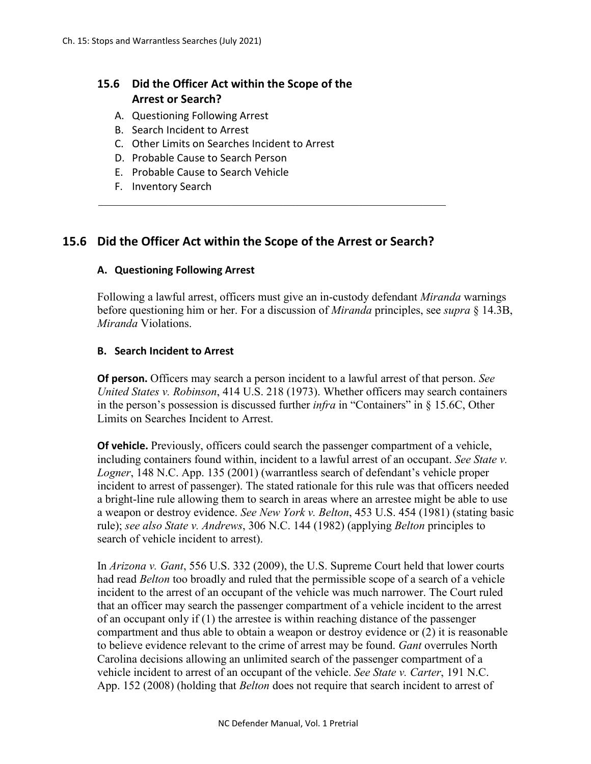# **15.6 Did the Officer Act within the Scope of the Arrest or Search?**

- A. Questioning Following Arrest
- B. Search Incident to Arrest
- C. Other Limits on Searches Incident to Arrest
- D. Probable Cause to Search Person
- E. Probable Cause to Search Vehicle
- F. Inventory Search

# **15.6 Did the Officer Act within the Scope of the Arrest or Search?**

## **A. Questioning Following Arrest**

Following a lawful arrest, officers must give an in-custody defendant *Miranda* warnings before questioning him or her. For a discussion of *Miranda* principles, see *supra* § 14.3B, *Miranda* Violations.

#### **B. Search Incident to Arrest**

**Of person.** Officers may search a person incident to a lawful arrest of that person. *See United States v. Robinson*, 414 U.S. 218 (1973). Whether officers may search containers in the person's possession is discussed further *infra* in "Containers" in § 15.6C, Other Limits on Searches Incident to Arrest.

**Of vehicle.** Previously, officers could search the passenger compartment of a vehicle, including containers found within, incident to a lawful arrest of an occupant. *See State v. Logner*, 148 N.C. App. 135 (2001) (warrantless search of defendant's vehicle proper incident to arrest of passenger). The stated rationale for this rule was that officers needed a bright-line rule allowing them to search in areas where an arrestee might be able to use a weapon or destroy evidence. *See New York v. Belton*, 453 U.S. 454 (1981) (stating basic rule); *see also State v. Andrews*, 306 N.C. 144 (1982) (applying *Belton* principles to search of vehicle incident to arrest).

In *Arizona v. Gant*, 556 U.S. 332 (2009), the U.S. Supreme Court held that lower courts had read *Belton* too broadly and ruled that the permissible scope of a search of a vehicle incident to the arrest of an occupant of the vehicle was much narrower. The Court ruled that an officer may search the passenger compartment of a vehicle incident to the arrest of an occupant only if (1) the arrestee is within reaching distance of the passenger compartment and thus able to obtain a weapon or destroy evidence or (2) it is reasonable to believe evidence relevant to the crime of arrest may be found. *Gant* overrules North Carolina decisions allowing an unlimited search of the passenger compartment of a vehicle incident to arrest of an occupant of the vehicle. *See State v. Carter*, 191 N.C. App. 152 (2008) (holding that *Belton* does not require that search incident to arrest of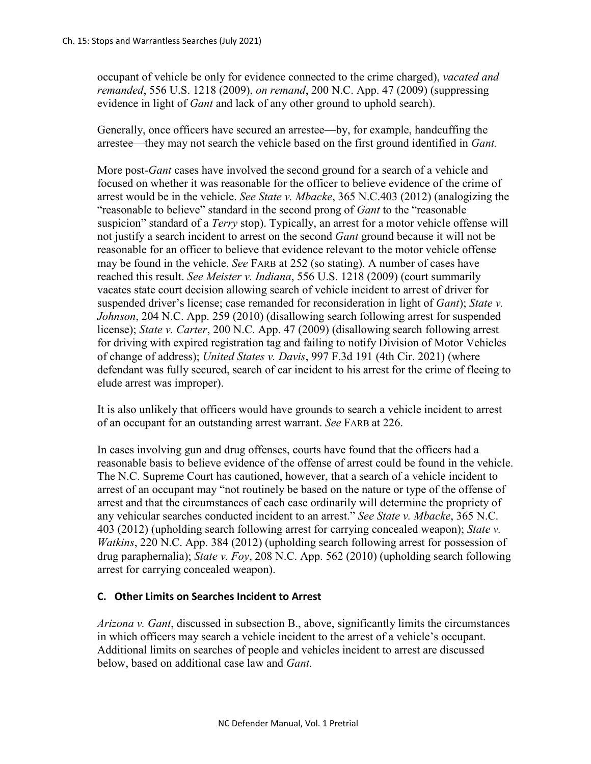occupant of vehicle be only for evidence connected to the crime charged), *vacated and remanded*, 556 U.S. 1218 (2009), *on remand*, 200 N.C. App. 47 (2009) (suppressing evidence in light of *Gant* and lack of any other ground to uphold search).

Generally, once officers have secured an arrestee—by, for example, handcuffing the arrestee—they may not search the vehicle based on the first ground identified in *Gant.* 

More post-*Gant* cases have involved the second ground for a search of a vehicle and focused on whether it was reasonable for the officer to believe evidence of the crime of arrest would be in the vehicle. *See State v. Mbacke*, 365 N.C.403 (2012) (analogizing the "reasonable to believe" standard in the second prong of *Gant* to the "reasonable suspicion" standard of a *Terry* stop). Typically, an arrest for a motor vehicle offense will not justify a search incident to arrest on the second *Gant* ground because it will not be reasonable for an officer to believe that evidence relevant to the motor vehicle offense may be found in the vehicle. *See* FARB at 252 (so stating). A number of cases have reached this result. *See Meister v. Indiana*, 556 U.S. 1218 (2009) (court summarily vacates state court decision allowing search of vehicle incident to arrest of driver for suspended driver's license; case remanded for reconsideration in light of *Gant*); *State v. Johnson*, 204 N.C. App. 259 (2010) (disallowing search following arrest for suspended license); *State v. Carter*, 200 N.C. App. 47 (2009) (disallowing search following arrest for driving with expired registration tag and failing to notify Division of Motor Vehicles of change of address); *United States v. Davis*, 997 F.3d 191 (4th Cir. 2021) (where defendant was fully secured, search of car incident to his arrest for the crime of fleeing to elude arrest was improper).

It is also unlikely that officers would have grounds to search a vehicle incident to arrest of an occupant for an outstanding arrest warrant. *See* FARB at 226.

In cases involving gun and drug offenses, courts have found that the officers had a reasonable basis to believe evidence of the offense of arrest could be found in the vehicle. The N.C. Supreme Court has cautioned, however, that a search of a vehicle incident to arrest of an occupant may "not routinely be based on the nature or type of the offense of arrest and that the circumstances of each case ordinarily will determine the propriety of any vehicular searches conducted incident to an arrest." *See State v. Mbacke*, 365 N.C. 403 (2012) (upholding search following arrest for carrying concealed weapon); *State v. Watkins*, 220 N.C. App. 384 (2012) (upholding search following arrest for possession of drug paraphernalia); *State v. Foy*, 208 N.C. App. 562 (2010) (upholding search following arrest for carrying concealed weapon).

## **C. Other Limits on Searches Incident to Arrest**

*Arizona v. Gant*, discussed in subsection B., above, significantly limits the circumstances in which officers may search a vehicle incident to the arrest of a vehicle's occupant. Additional limits on searches of people and vehicles incident to arrest are discussed below, based on additional case law and *Gant.*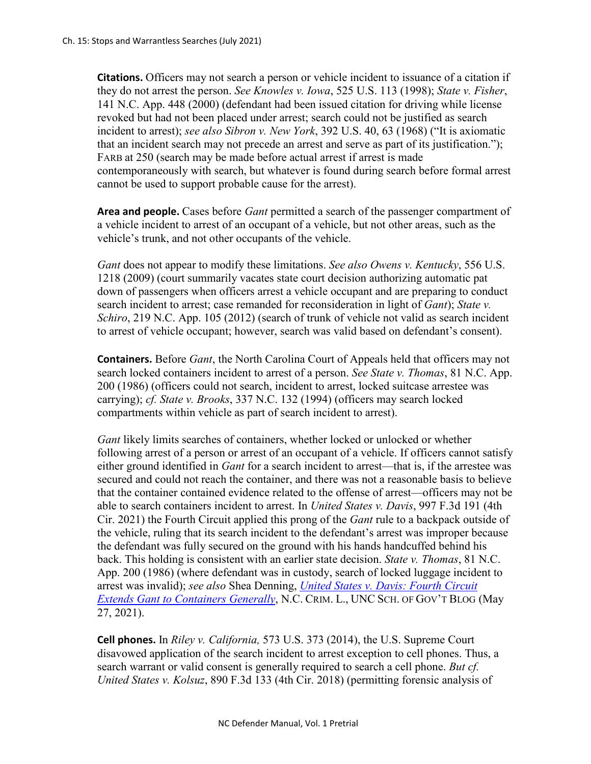**Citations.** Officers may not search a person or vehicle incident to issuance of a citation if they do not arrest the person. *See Knowles v. Iowa*, 525 U.S. 113 (1998); *State v. Fisher*, 141 N.C. App. 448 (2000) (defendant had been issued citation for driving while license revoked but had not been placed under arrest; search could not be justified as search incident to arrest); *see also Sibron v. New York*, 392 U.S. 40, 63 (1968) ("It is axiomatic that an incident search may not precede an arrest and serve as part of its justification."); FARB at 250 (search may be made before actual arrest if arrest is made contemporaneously with search, but whatever is found during search before formal arrest cannot be used to support probable cause for the arrest).

**Area and people.** Cases before *Gant* permitted a search of the passenger compartment of a vehicle incident to arrest of an occupant of a vehicle, but not other areas, such as the vehicle's trunk, and not other occupants of the vehicle.

*Gant* does not appear to modify these limitations. *See also Owens v. Kentucky*, 556 U.S. 1218 (2009) (court summarily vacates state court decision authorizing automatic pat down of passengers when officers arrest a vehicle occupant and are preparing to conduct search incident to arrest; case remanded for reconsideration in light of *Gant*); *State v. Schiro*, 219 N.C. App. 105 (2012) (search of trunk of vehicle not valid as search incident to arrest of vehicle occupant; however, search was valid based on defendant's consent).

**Containers.** Before *Gant*, the North Carolina Court of Appeals held that officers may not search locked containers incident to arrest of a person. *See State v. Thomas*, 81 N.C. App. 200 (1986) (officers could not search, incident to arrest, locked suitcase arrestee was carrying); *cf. State v. Brooks*, 337 N.C. 132 (1994) (officers may search locked compartments within vehicle as part of search incident to arrest).

*Gant* likely limits searches of containers, whether locked or unlocked or whether following arrest of a person or arrest of an occupant of a vehicle. If officers cannot satisfy either ground identified in *Gant* for a search incident to arrest—that is, if the arrestee was secured and could not reach the container, and there was not a reasonable basis to believe that the container contained evidence related to the offense of arrest—officers may not be able to search containers incident to arrest. In *United States v. Davis*, 997 F.3d 191 (4th Cir. 2021) the Fourth Circuit applied this prong of the *Gant* rule to a backpack outside of the vehicle, ruling that its search incident to the defendant's arrest was improper because the defendant was fully secured on the ground with his hands handcuffed behind his back. This holding is consistent with an earlier state decision. *State v. Thomas*, 81 N.C. App. 200 (1986) (where defendant was in custody, search of locked luggage incident to arrest was invalid); *see also* Shea Denning, *[United States v. Davis: Fourth Circuit](https://nccriminallaw.sog.unc.edu/united-states-v-davis-fourth-circuit-extends-gant-to-containers-generally/)  [Extends Gant to Containers Generally](https://nccriminallaw.sog.unc.edu/united-states-v-davis-fourth-circuit-extends-gant-to-containers-generally/)*, N.C. CRIM. L., UNC SCH. OF GOV'T BLOG (May 27, 2021).

**Cell phones.** In *Riley v. California,* 573 U.S. 373 (2014), the U.S. Supreme Court disavowed application of the search incident to arrest exception to cell phones. Thus, a search warrant or valid consent is generally required to search a cell phone. *But cf. United States v. Kolsuz*, 890 F.3d 133 (4th Cir. 2018) (permitting forensic analysis of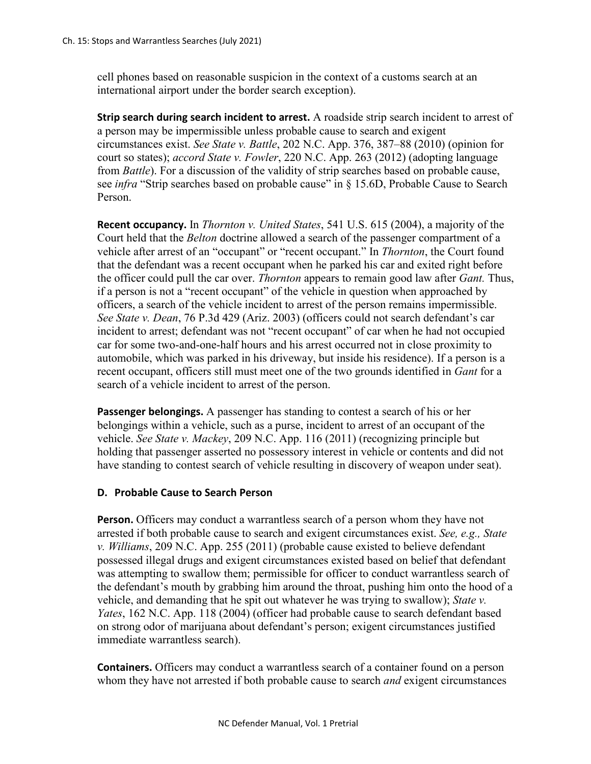cell phones based on reasonable suspicion in the context of a customs search at an international airport under the border search exception).

**Strip search during search incident to arrest.** A roadside strip search incident to arrest of a person may be impermissible unless probable cause to search and exigent circumstances exist. *See State v. Battle*, 202 N.C. App. 376, 387–88 (2010) (opinion for court so states); *accord State v. Fowler*, 220 N.C. App. 263 (2012) (adopting language from *Battle*). For a discussion of the validity of strip searches based on probable cause, see *infra* "Strip searches based on probable cause" in § 15.6D, Probable Cause to Search Person.

**Recent occupancy.** In *Thornton v. United States*, 541 U.S. 615 (2004), a majority of the Court held that the *Belton* doctrine allowed a search of the passenger compartment of a vehicle after arrest of an "occupant" or "recent occupant." In *Thornton*, the Court found that the defendant was a recent occupant when he parked his car and exited right before the officer could pull the car over. *Thornton* appears to remain good law after *Gant.* Thus, if a person is not a "recent occupant" of the vehicle in question when approached by officers, a search of the vehicle incident to arrest of the person remains impermissible. *See State v. Dean*, 76 P.3d 429 (Ariz. 2003) (officers could not search defendant's car incident to arrest; defendant was not "recent occupant" of car when he had not occupied car for some two-and-one-half hours and his arrest occurred not in close proximity to automobile, which was parked in his driveway, but inside his residence). If a person is a recent occupant, officers still must meet one of the two grounds identified in *Gant* for a search of a vehicle incident to arrest of the person.

**Passenger belongings.** A passenger has standing to contest a search of his or her belongings within a vehicle, such as a purse, incident to arrest of an occupant of the vehicle. *See State v. Mackey*, 209 N.C. App. 116 (2011) (recognizing principle but holding that passenger asserted no possessory interest in vehicle or contents and did not have standing to contest search of vehicle resulting in discovery of weapon under seat).

## **D. Probable Cause to Search Person**

**Person.** Officers may conduct a warrantless search of a person whom they have not arrested if both probable cause to search and exigent circumstances exist. *See, e.g., State v. Williams*, 209 N.C. App. 255 (2011) (probable cause existed to believe defendant possessed illegal drugs and exigent circumstances existed based on belief that defendant was attempting to swallow them; permissible for officer to conduct warrantless search of the defendant's mouth by grabbing him around the throat, pushing him onto the hood of a vehicle, and demanding that he spit out whatever he was trying to swallow); *State v. Yates*, 162 N.C. App. 118 (2004) (officer had probable cause to search defendant based on strong odor of marijuana about defendant's person; exigent circumstances justified immediate warrantless search).

**Containers.** Officers may conduct a warrantless search of a container found on a person whom they have not arrested if both probable cause to search *and* exigent circumstances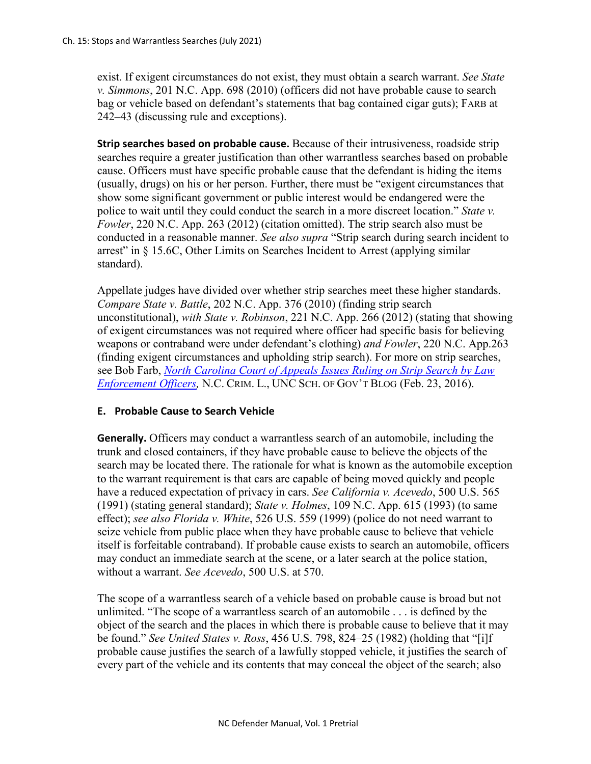exist. If exigent circumstances do not exist, they must obtain a search warrant. *See State v. Simmons*, 201 N.C. App. 698 (2010) (officers did not have probable cause to search bag or vehicle based on defendant's statements that bag contained cigar guts); FARB at 242–43 (discussing rule and exceptions).

**Strip searches based on probable cause.** Because of their intrusiveness, roadside strip searches require a greater justification than other warrantless searches based on probable cause. Officers must have specific probable cause that the defendant is hiding the items (usually, drugs) on his or her person. Further, there must be "exigent circumstances that show some significant government or public interest would be endangered were the police to wait until they could conduct the search in a more discreet location." *State v. Fowler*, 220 N.C. App. 263 (2012) (citation omitted). The strip search also must be conducted in a reasonable manner. *See also supra* "Strip search during search incident to arrest" in § 15.6C, Other Limits on Searches Incident to Arrest (applying similar standard).

Appellate judges have divided over whether strip searches meet these higher standards. *Compare State v. Battle*, 202 N.C. App. 376 (2010) (finding strip search unconstitutional), *with State v. Robinson*, 221 N.C. App. 266 (2012) (stating that showing of exigent circumstances was not required where officer had specific basis for believing weapons or contraband were under defendant's clothing) *and Fowler*, 220 N.C. App.263 (finding exigent circumstances and upholding strip search). For more on strip searches, see Bob Farb, *[North Carolina Court of Appeals Issues Ruling on Strip Search by Law](https://nccriminallaw.sog.unc.edu/north-carolina-court-of-appeals-issues-ruling-on-a-strip-search-by-law-enforcement-officers/)  [Enforcement Officers,](https://nccriminallaw.sog.unc.edu/north-carolina-court-of-appeals-issues-ruling-on-a-strip-search-by-law-enforcement-officers/)* N.C. CRIM. L., UNC SCH. OF GOV'T BLOG (Feb. 23, 2016).

#### **E. Probable Cause to Search Vehicle**

**Generally.** Officers may conduct a warrantless search of an automobile, including the trunk and closed containers, if they have probable cause to believe the objects of the search may be located there. The rationale for what is known as the automobile exception to the warrant requirement is that cars are capable of being moved quickly and people have a reduced expectation of privacy in cars. *See California v. Acevedo*, 500 U.S. 565 (1991) (stating general standard); *State v. Holmes*, 109 N.C. App. 615 (1993) (to same effect); *see also Florida v. White*, 526 U.S. 559 (1999) (police do not need warrant to seize vehicle from public place when they have probable cause to believe that vehicle itself is forfeitable contraband). If probable cause exists to search an automobile, officers may conduct an immediate search at the scene, or a later search at the police station, without a warrant. *See Acevedo*, 500 U.S. at 570.

The scope of a warrantless search of a vehicle based on probable cause is broad but not unlimited. "The scope of a warrantless search of an automobile . . . is defined by the object of the search and the places in which there is probable cause to believe that it may be found." *See United States v. Ross*, 456 U.S. 798, 824–25 (1982) (holding that "[i]f probable cause justifies the search of a lawfully stopped vehicle, it justifies the search of every part of the vehicle and its contents that may conceal the object of the search; also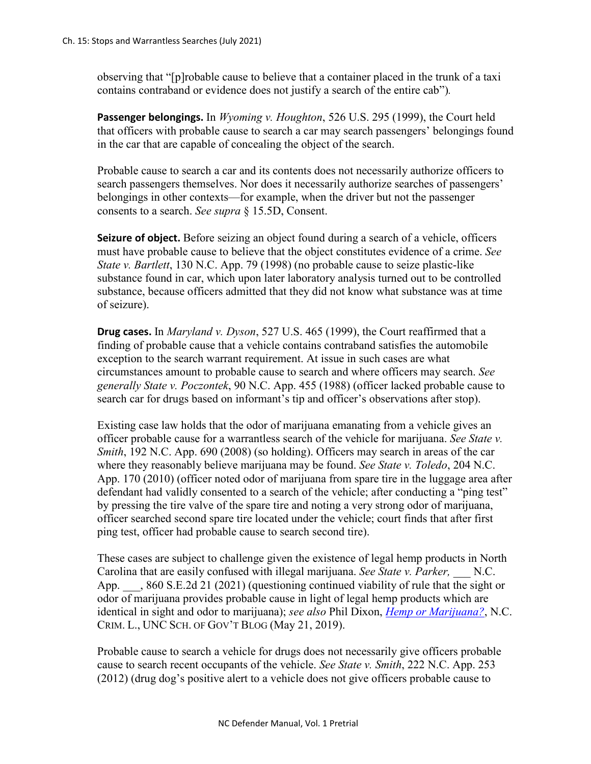observing that "[p]robable cause to believe that a container placed in the trunk of a taxi contains contraband or evidence does not justify a search of the entire cab")*.*

**Passenger belongings.** In *Wyoming v. Houghton*, 526 U.S. 295 (1999), the Court held that officers with probable cause to search a car may search passengers' belongings found in the car that are capable of concealing the object of the search.

Probable cause to search a car and its contents does not necessarily authorize officers to search passengers themselves. Nor does it necessarily authorize searches of passengers' belongings in other contexts—for example, when the driver but not the passenger consents to a search. *See supra* § 15.5D, Consent.

**Seizure of object.** Before seizing an object found during a search of a vehicle, officers must have probable cause to believe that the object constitutes evidence of a crime. *See State v. Bartlett*, 130 N.C. App. 79 (1998) (no probable cause to seize plastic-like substance found in car, which upon later laboratory analysis turned out to be controlled substance, because officers admitted that they did not know what substance was at time of seizure).

**Drug cases.** In *Maryland v. Dyson*, 527 U.S. 465 (1999), the Court reaffirmed that a finding of probable cause that a vehicle contains contraband satisfies the automobile exception to the search warrant requirement. At issue in such cases are what circumstances amount to probable cause to search and where officers may search. *See generally State v. Poczontek*, 90 N.C. App. 455 (1988) (officer lacked probable cause to search car for drugs based on informant's tip and officer's observations after stop).

Existing case law holds that the odor of marijuana emanating from a vehicle gives an officer probable cause for a warrantless search of the vehicle for marijuana. *See State v. Smith*, 192 N.C. App. 690 (2008) (so holding). Officers may search in areas of the car where they reasonably believe marijuana may be found. *See State v. Toledo*, 204 N.C. App. 170 (2010) (officer noted odor of marijuana from spare tire in the luggage area after defendant had validly consented to a search of the vehicle; after conducting a "ping test" by pressing the tire valve of the spare tire and noting a very strong odor of marijuana, officer searched second spare tire located under the vehicle; court finds that after first ping test, officer had probable cause to search second tire).

These cases are subject to challenge given the existence of legal hemp products in North Carolina that are easily confused with illegal marijuana. *See State v. Parker,* \_\_\_ N.C. App.  $\,$ , 860 S.E.2d 21 (2021) (questioning continued viability of rule that the sight or odor of marijuana provides probable cause in light of legal hemp products which are identical in sight and odor to marijuana); *see also* Phil Dixon, *[Hemp or Marijuana?](https://nccriminallaw.sog.unc.edu/hemp-or-marijuana/)*, N.C. CRIM. L., UNC SCH. OF GOV'T BLOG (May 21, 2019).

Probable cause to search a vehicle for drugs does not necessarily give officers probable cause to search recent occupants of the vehicle. *See State v. Smith*, 222 N.C. App. 253 (2012) (drug dog's positive alert to a vehicle does not give officers probable cause to